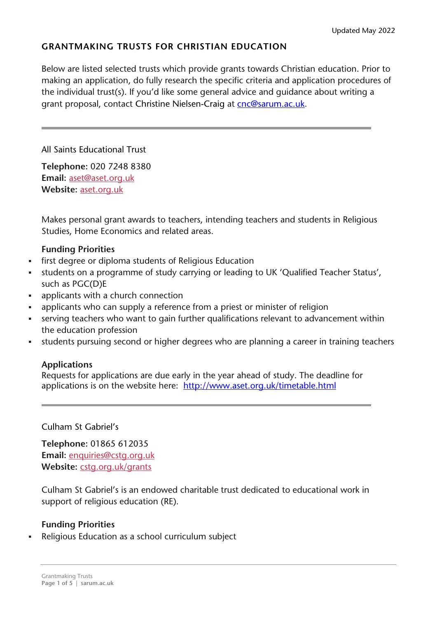# **GRANTMAKING TRUSTS FOR CHRISTIAN EDUCATION**

Below are listed selected trusts which provide grants towards Christian education. Prior to making an application, do fully research the specific criteria and application procedures of the individual trust(s). If you'd like some general advice and guidance about writing a grant proposal, contact Christine Nielsen-Craig at [cnc@sarum.ac.uk.](mailto:cnc@sarum.ac.uk)

All Saints Educational Trust

**Telephone:** 020 7248 8380 **Email:** [aset@aset.org.uk](mailto:aset@aset.org.uk) **Website:** [aset.org.uk](http://www.aset.org.uk/)

Makes personal grant awards to teachers, intending teachers and students in Religious Studies, Home Economics and related areas.

#### **Funding Priorities**

- first degree or diploma students of Religious Education
- students on a programme of study carrying or leading to UK 'Qualified Teacher Status', such as PGC(D)E
- applicants with a church connection
- applicants who can supply a reference from a priest or minister of religion
- serving teachers who want to gain further qualifications relevant to advancement within the education profession
- students pursuing second or higher degrees who are planning a career in training teachers

### **Applications**

Requests for applications are due early in the year ahead of study. The deadline for applications is on the website here: <http://www.aset.org.uk/timetable.html>

Culham St Gabriel's

**Telephone:** 01865 612035 **Email:** [enquiries@cstg.org.uk](mailto:enquiries@cstg.org.uk) Website: [cstg.org.uk/grants](http://www.cstg.org.uk/grants)

Culham St Gabriel's is an endowed charitable trust dedicated to educational work in support of religious education (RE).

### **Funding Priorities**

Religious Education as a school curriculum subject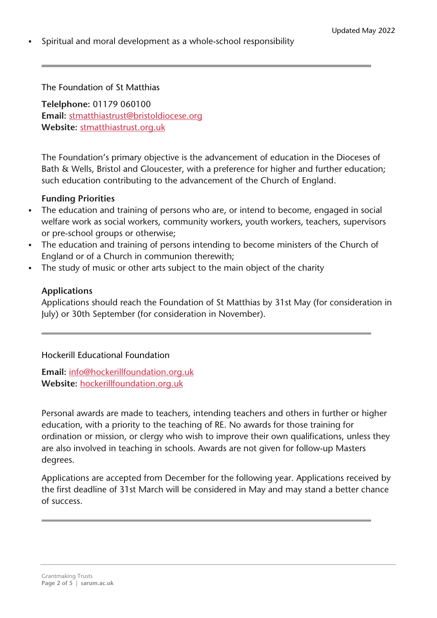Spiritual and moral development as a whole-school responsibility

The Foundation of St Matthias

**Telelphone:** 01179 060100 **Email:** [stmatthiastrust@bristoldiocese.org](mailto:stmatthiastrust@bristoldiocese.org) **Website:** [stmatthiastrust.org.uk](http://stmatthiastrust.org.uk/)

The Foundation's primary objective is the advancement of education in the Dioceses of Bath & Wells, Bristol and Gloucester, with a preference for higher and further education; such education contributing to the advancement of the Church of England.

#### **Funding Priorities**

- The education and training of persons who are, or intend to become, engaged in social welfare work as social workers, community workers, youth workers, teachers, supervisors or pre-school groups or otherwise;
- The education and training of persons intending to become ministers of the Church of England or of a Church in communion therewith;
- The study of music or other arts subject to the main object of the charity

#### **Applications**

Applications should reach the Foundation of St Matthias by 31st May (for consideration in July) or 30th September (for consideration in November).

Hockerill Educational Foundation

**Email:** [info@hockerillfoundation.org.uk](mailto:info@hockerillfoundation.org.uk) **Website:** [hockerillfoundation.org.uk](http://hockerillfoundation.org.uk/)

Personal awards are made to teachers, intending teachers and others in further or higher education, with a priority to the teaching of RE. No awards for those training for ordination or mission, or clergy who wish to improve their own qualifications, unless they are also involved in teaching in schools. Awards are not given for follow-up Masters degrees.

Applications are accepted from December for the following year. Applications received by the first deadline of 31st March will be considered in May and may stand a better chance of success.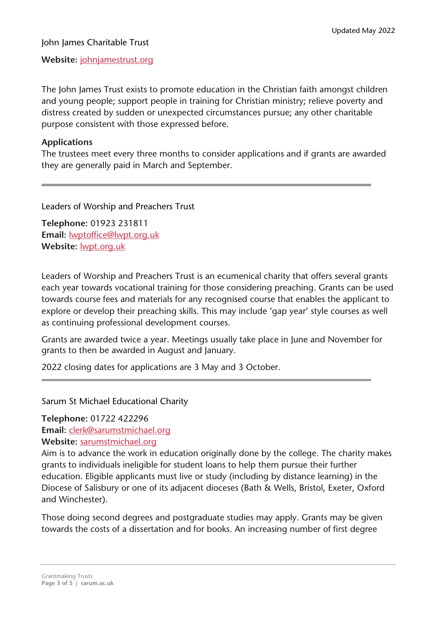#### John James Charitable Trust

**Website:** [johnjamestrust.org](http://johnjamestrust.org/)

The John James Trust exists to promote education in the Christian faith amongst children and young people; support people in training for Christian ministry; relieve poverty and distress created by sudden or unexpected circumstances pursue; any other charitable purpose consistent with those expressed before.

#### **Applications**

The trustees meet every three months to consider applications and if grants are awarded they are generally paid in March and September.

Leaders of Worship and Preachers Trust

**Telephone:** 01923 231811 **Email:** [lwptoffice@lwpt.org.uk](mailto:lwptoffice@lwpt.org.uk) **Website:** [lwpt.org.uk](http://lwpt.org.uk/)

Leaders of Worship and Preachers Trust is an ecumenical charity that offers several grants each year towards vocational training for those considering preaching. Grants can be used towards course fees and materials for any recognised course that enables the applicant to explore or develop their preaching skills. This may include 'gap year' style courses as well as continuing professional development courses.

Grants are awarded twice a year. Meetings usually take place in June and November for grants to then be awarded in August and January.

2022 closing dates for applications are 3 May and 3 October.

Sarum St Michael Educational Charity

**Telephone:** 01722 422296

**Email:** [clerk@sarumstmichael.org](mailto:clerk@sarumstmichael.org)

**Website:** [sarumstmichael.org](http://sarumstmichael.org/)

Aim is to advance the work in education originally done by the college. The charity makes grants to individuals ineligible for student loans to help them pursue their further education. Eligible applicants must live or study (including by distance learning) in the Diocese of Salisbury or one of its adjacent dioceses (Bath & Wells, Bristol, Exeter, Oxford and Winchester).

Those doing second degrees and postgraduate studies may apply. Grants may be given towards the costs of a dissertation and for books. An increasing number of first degree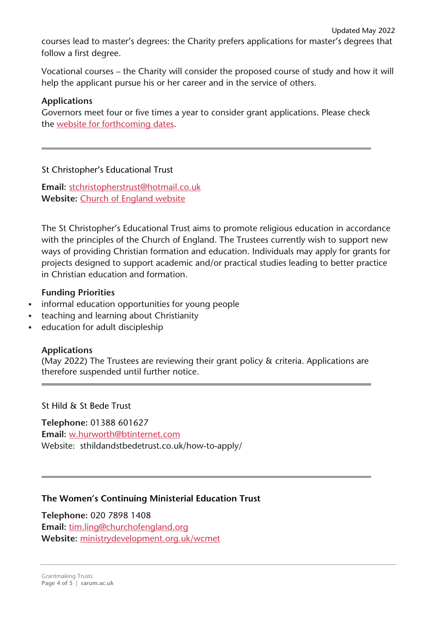courses lead to master's degrees: the Charity prefers applications for master's degrees that follow a first degree.

Vocational courses – the Charity will consider the proposed course of study and how it will help the applicant pursue his or her career and in the service of others.

## **Applications**

Governors meet four or five times a year to consider grant applications. Please check the website for [forthcoming](http://www.sarumstmichael.org/page4.html) dates.

### St Christopher's Educational Trust

**Email:** [stchristopherstrust@hotmail.co.uk](mailto:stchristopherstrust@hotmail.co.uk) **Website:** Church of [England](https://www.churchofengland.org/education/the-st-christopher) website

The St Christopher's Educational Trust aims to promote religious education in accordance with the principles of the Church of England. The Trustees currently wish to support new ways of providing Christian formation and education. Individuals may apply for grants for projects designed to support academic and/or practical studies leading to better practice in Christian education and formation.

### **Funding Priorities**

- **informal education opportunities for young people**
- teaching and learning about Christianity
- education for adult discipleship

### **Applications**

(May 2022) The Trustees are reviewing their grant policy & criteria. Applications are therefore suspended until further notice.

St Hild & St Bede Trust

**Telephone:** 01388 601627 **Email:** [w.hurworth@btinternet.com](mailto:w.hurworth@btinternet.com) Website: sthildandstbedetrust.co.uk/how-to-apply/

### **The Women's Continuing Ministerial Education Trust**

**Telephone:** 020 7898 1408 **Email:** [tim.ling@churchofengland.org](mailto:tim.ling@churchofengland.org) **Website:** [ministrydevelopment.org.uk/wcmet](http://www.ministrydevelopment.org.uk/wcmet)